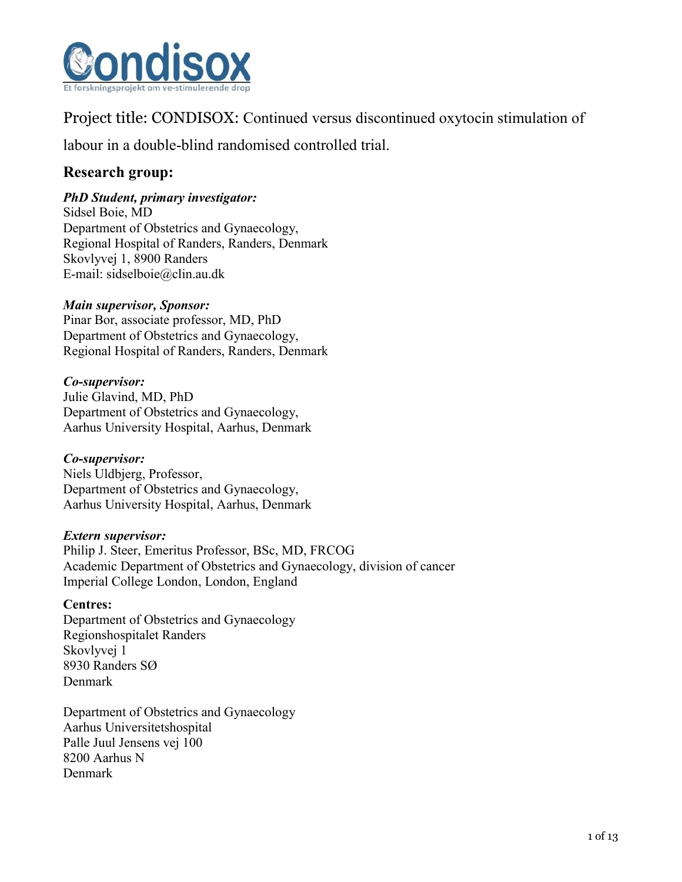

Project title: CONDISOX: Continued versus discontinued oxytocin stimulation of

labour in a double-blind randomised controlled trial.

# **Research group:**

### *PhD Student, primary investigator:*

Sidsel Boie, MD Department of Obstetrics and Gynaecology, Regional Hospital of Randers, Randers, Denmark Skovlyvej 1, 8900 Randers E-mail: sidselboie@clin.au.dk

### *Main supervisor, Sponsor:*

Pinar Bor, associate professor, MD, PhD Department of Obstetrics and Gynaecology, Regional Hospital of Randers, Randers, Denmark

### *Co-supervisor:*

Julie Glavind, MD, PhD Department of Obstetrics and Gynaecology, Aarhus University Hospital, Aarhus, Denmark

### *Co-supervisor:*

Niels Uldbjerg, Professor, Department of Obstetrics and Gynaecology, Aarhus University Hospital, Aarhus, Denmark

### *Extern supervisor:*

Philip J. Steer, Emeritus Professor, BSc, MD, FRCOG Academic Department of Obstetrics and Gynaecology, division of cancer Imperial College London, London, England

### **Centres:**

Department of Obstetrics and Gynaecology Regionshospitalet Randers Skovlyvej 1 8930 Randers SØ Denmark

Department of Obstetrics and Gynaecology Aarhus Universitetshospital Palle Juul Jensens vej 100 8200 Aarhus N Denmark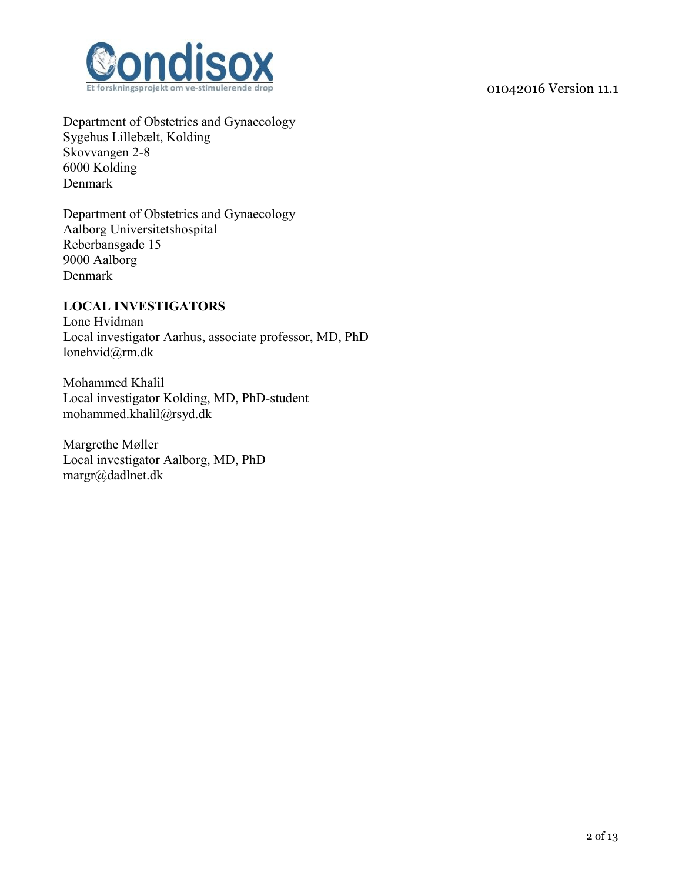

Department of Obstetrics and Gynaecology Sygehus Lillebælt, Kolding Skovvangen 2-8 6000 Kolding Denmark

ndiso

Department of Obstetrics and Gynaecology Aalborg Universitetshospital Reberbansgade 15 9000 Aalborg Denmark

#### **LOCAL INVESTIGATORS**

Lone Hvidman Local investigator Aarhus, associate professor, MD, PhD lonehvid@rm.dk

Mohammed Khalil Local investigator Kolding, MD, PhD-student mohammed.khalil@rsyd.dk

Margrethe Møller Local investigator Aalborg, MD, PhD margr@dadlnet.dk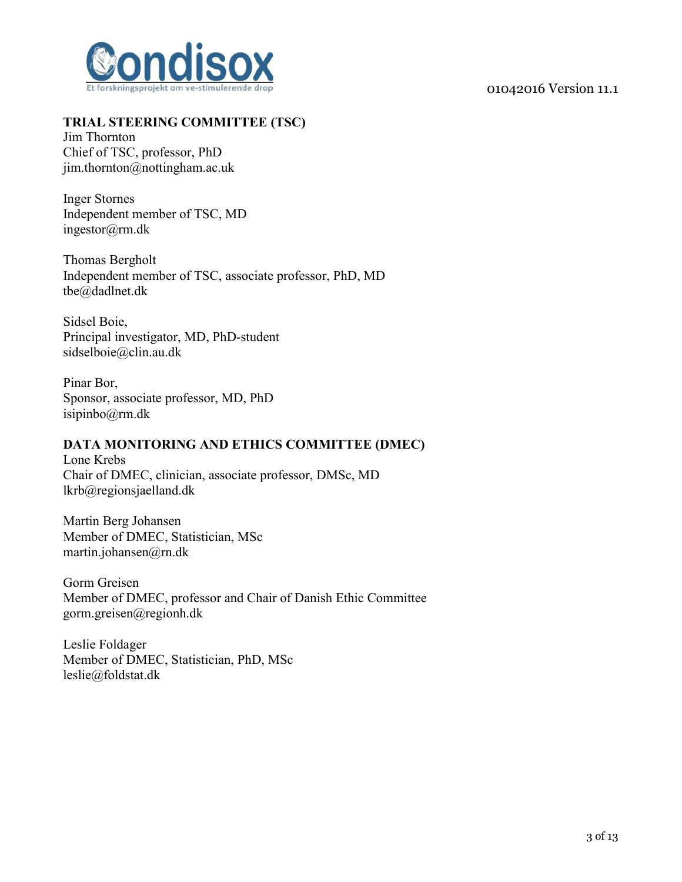

### **TRIAL STEERING COMMITTEE (TSC)**

Jim Thornton Chief of TSC, professor, PhD jim.thornton@nottingham.ac.uk

Inger Stornes Independent member of TSC, MD ingestor@rm.dk

Thomas Bergholt Independent member of TSC, associate professor, PhD, MD tbe@dadlnet.dk

Sidsel Boie, Principal investigator, MD, PhD-student sidselboie@clin.au.dk

Pinar Bor, Sponsor, associate professor, MD, PhD isipinbo@rm.dk

#### **DATA MONITORING AND ETHICS COMMITTEE (DMEC)**

Lone Krebs Chair of DMEC, clinician, associate professor, DMSc, MD lkrb@regionsjaelland.dk

Martin Berg Johansen Member of DMEC, Statistician, MSc martin.johansen@rn.dk

Gorm Greisen Member of DMEC, professor and Chair of Danish Ethic Committee gorm.greisen@regionh.dk

Leslie Foldager Member of DMEC, Statistician, PhD, MSc leslie@foldstat.dk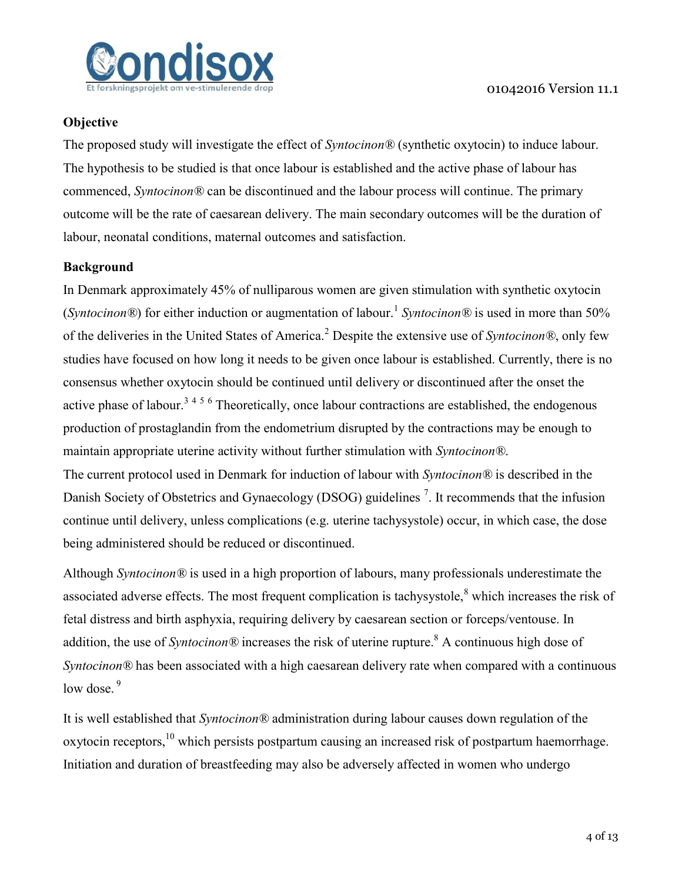

### **Objective**

The proposed study will investigate the effect of *Syntocinon®* (synthetic oxytocin) to induce labour. The hypothesis to be studied is that once labour is established and the active phase of labour has commenced, *Syntocinon®* can be discontinued and the labour process will continue. The primary outcome will be the rate of caesarean delivery. The main secondary outcomes will be the duration of labour, neonatal conditions, maternal outcomes and satisfaction.

### **Background**

In Denmark approximately 45% of nulliparous women are given stimulation with synthetic oxytocin (*Syntocinon*<sup>®</sup>) for either induction or augmentation of labour.<sup>1</sup> Syntocinon<sup>®</sup> is used in more than 50% of the deliveries in the United States of America.<sup>2</sup> Despite the extensive use of *Syntocinon®*, only few studies have focused on how long it needs to be given once labour is established. Currently, there is no consensus whether oxytocin should be continued until delivery or discontinued after the onset the active phase of labour.<sup>3456</sup> Theoretically, once labour contractions are established, the endogenous production of prostaglandin from the endometrium disrupted by the contractions may be enough to maintain appropriate uterine activity without further stimulation with *Syntocinon®*.

<span id="page-3-4"></span><span id="page-3-3"></span><span id="page-3-2"></span><span id="page-3-1"></span><span id="page-3-0"></span>The current protocol used in Denmark for induction of labour with *Syntocinon®* is described in the Danish Society of Obstetrics and Gynaecology (DSOG) guidelines<sup>7</sup>. It recommends that the infusion continue until delivery, unless complications (e.g. uterine tachysystole) occur, in which case, the dose being administered should be reduced or discontinued.

Although *Syntocinon®* is used in a high proportion of labours, many professionals underestimate the associated adverse effects. The most frequent complication is tachysystole, $\delta$  which increases the risk of fetal distress and birth asphyxia, requiring delivery by caesarean section or forceps/ventouse. In addition, the use of *Syntocinon*<sup>®</sup> increases the risk of uterine rupture.<sup>8</sup> A continuous high dose of *Syntocinon®* has been associated with a high caesarean delivery rate when compared with a continuous low dose.  $9$ 

It is well established that *Syntocinon®* administration during labour causes down regulation of the oxytocin receptors,  $^{10}$  which persists postpartum causing an increased risk of postpartum haemorrhage. Initiation and duration of breastfeeding may also be adversely affected in women who undergo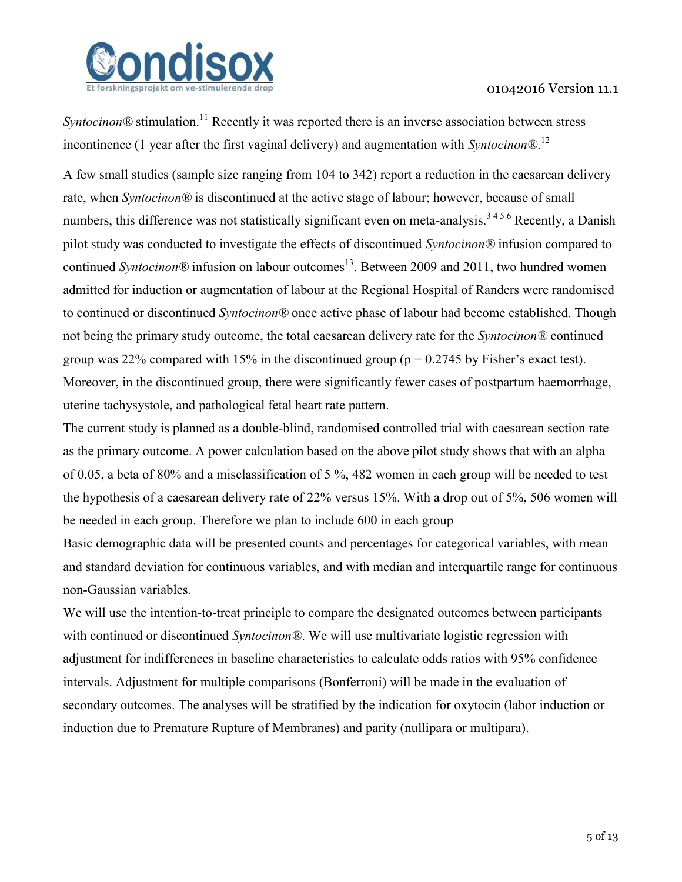

*Syntocinon*<sup>®</sup> stimulation.<sup>11</sup> Recently it was reported there is an inverse association between stress incontinence (1 year after the first vaginal delivery) and augmentation with *Syntocinon®*. 12

A few small studies (sample size ranging from 104 to 342) report a reduction in the caesarean delivery rate, when *Syntocinon®* is discontinued at the active stage of labour; however, because of small numbers, this difference was not statistically significant even on meta-analysis.<sup>[3](#page-3-0)[4](#page-3-1)[5](#page-3-2)[6](#page-3-3)</sup> Recently, a Danish pilot study was conducted to investigate the effects of discontinued *Syntocinon®* infusion compared to continued *Syntocinon*<sup>®</sup> infusion on labour outcomes<sup>13</sup>. Between 2009 and 2011, two hundred women admitted for induction or augmentation of labour at the Regional Hospital of Randers were randomised to continued or discontinued *Syntocinon®* once active phase of labour had become established. Though not being the primary study outcome, the total caesarean delivery rate for the *Syntocinon®* continued group was 22% compared with 15% in the discontinued group ( $p = 0.2745$  by Fisher's exact test). Moreover, in the discontinued group, there were significantly fewer cases of postpartum haemorrhage, uterine tachysystole, and pathological fetal heart rate pattern.

The current study is planned as a double-blind, randomised controlled trial with caesarean section rate as the primary outcome. A power calculation based on the above pilot study shows that with an alpha of 0.05, a beta of 80% and a misclassification of 5 %, 482 women in each group will be needed to test the hypothesis of a caesarean delivery rate of 22% versus 15%. With a drop out of 5%, 506 women will be needed in each group. Therefore we plan to include 600 in each group

Basic demographic data will be presented counts and percentages for categorical variables, with mean and standard deviation for continuous variables, and with median and interquartile range for continuous non-Gaussian variables.

We will use the intention-to-treat principle to compare the designated outcomes between participants with continued or discontinued *Syntocinon®*. We will use multivariate logistic regression with adjustment for indifferences in baseline characteristics to calculate odds ratios with 95% confidence intervals. Adjustment for multiple comparisons (Bonferroni) will be made in the evaluation of secondary outcomes. The analyses will be stratified by the indication for oxytocin (labor induction or induction due to Premature Rupture of Membranes) and parity (nullipara or multipara).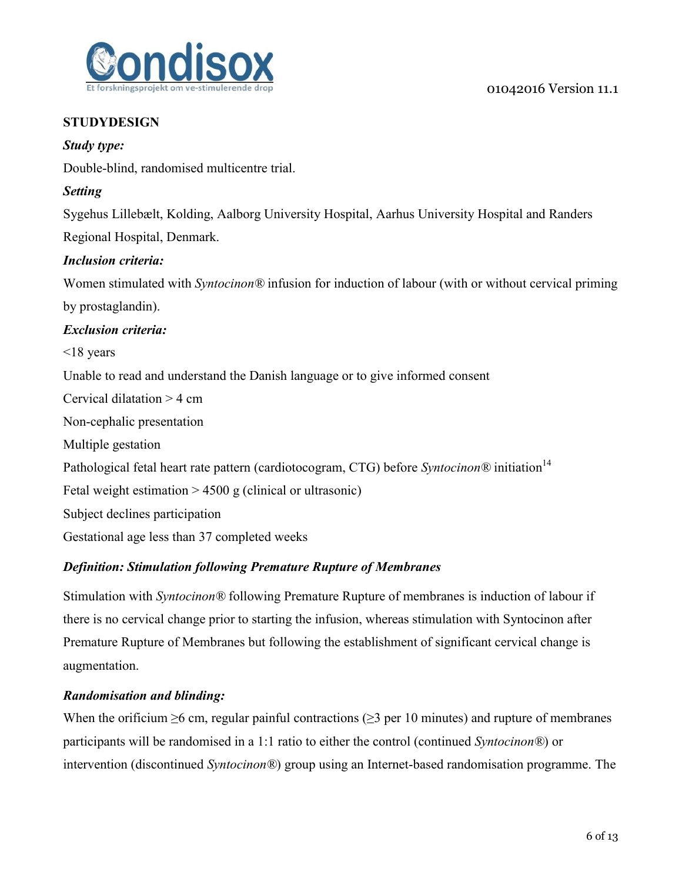

## **STUDYDESIGN**

### *Study type:*

Double-blind, randomised multicentre trial.

### *Setting*

Sygehus Lillebælt, Kolding, Aalborg University Hospital, Aarhus University Hospital and Randers Regional Hospital, Denmark.

### *Inclusion criteria:*

Women stimulated with *Syntocinon®* infusion for induction of labour (with or without cervical priming by prostaglandin).

### *Exclusion criteria:*

 $\leq$ 18 years

Unable to read and understand the Danish language or to give informed consent

Cervical dilatation > 4 cm

Non-cephalic presentation

Multiple gestation

<span id="page-5-0"></span>Pathological fetal heart rate pattern (cardiotocogram, CTG) before *Syntocinon*<sup>®</sup> initiation<sup>14</sup>

Fetal weight estimation  $> 4500$  g (clinical or ultrasonic)

Subject declines participation

Gestational age less than 37 completed weeks

## *Definition: Stimulation following Premature Rupture of Membranes*

Stimulation with *Syntocinon®* following Premature Rupture of membranes is induction of labour if there is no cervical change prior to starting the infusion, whereas stimulation with Syntocinon after Premature Rupture of Membranes but following the establishment of significant cervical change is augmentation.

## *Randomisation and blinding:*

When the orificium  $\geq 6$  cm, regular painful contractions ( $\geq 3$  per 10 minutes) and rupture of membranes participants will be randomised in a 1:1 ratio to either the control (continued *Syntocinon®*) or intervention (discontinued *Syntocinon®*) group using an Internet-based randomisation programme. The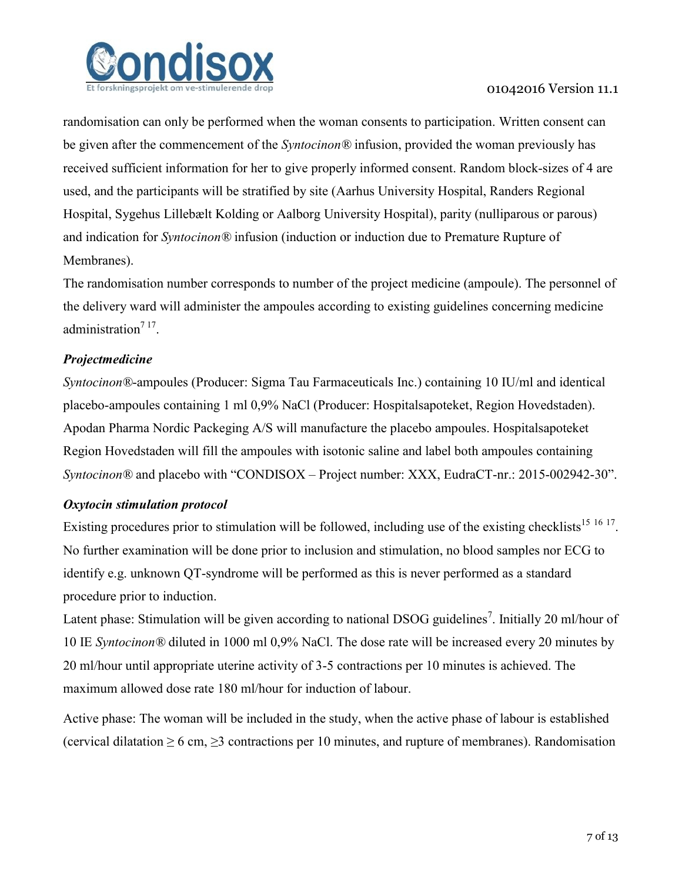

randomisation can only be performed when the woman consents to participation. Written consent can be given after the commencement of the *Syntocinon®* infusion, provided the woman previously has received sufficient information for her to give properly informed consent. Random block-sizes of 4 are used, and the participants will be stratified by site (Aarhus University Hospital, Randers Regional Hospital, Sygehus Lillebælt Kolding or Aalborg University Hospital), parity (nulliparous or parous) and indication for *Syntocinon®* infusion (induction or induction due to Premature Rupture of Membranes).

The randomisation number corresponds to number of the project medicine (ampoule). The personnel of the delivery ward will administer the ampoules according to existing guidelines concerning medicine administration<sup>[7](#page-3-4)[17](#page-6-0)</sup>.

## *Projectmedicine*

*Syntocinon®*-ampoules (Producer: Sigma Tau Farmaceuticals Inc.) containing 10 IU/ml and identical placebo-ampoules containing 1 ml 0,9% NaCl (Producer: Hospitalsapoteket, Region Hovedstaden). Apodan Pharma Nordic Packeging A/S will manufacture the placebo ampoules. Hospitalsapoteket Region Hovedstaden will fill the ampoules with isotonic saline and label both ampoules containing *Syntocinon®* and placebo with "CONDISOX – Project number: XXX, EudraCT-nr.: 2015-002942-30".

### <span id="page-6-0"></span>*Oxytocin stimulation protocol*

Existing procedures prior to stimulation will be followed, including use of the existing checklists<sup>15 16 17</sup>. No further examination will be done prior to inclusion and stimulation, no blood samples nor ECG to identify e.g. unknown QT-syndrome will be performed as this is never performed as a standard procedure prior to induction.

Latent phase: Stimulation will be given according to national DSOG guidelines<sup>[7](#page-3-4)</sup>. Initially 20 ml/hour of 10 IE *Syntocinon®* diluted in 1000 ml 0,9% NaCl. The dose rate will be increased every 20 minutes by 20 ml/hour until appropriate uterine activity of 3-5 contractions per 10 minutes is achieved. The maximum allowed dose rate 180 ml/hour for induction of labour.

Active phase: The woman will be included in the study, when the active phase of labour is established (cervical dilatation  $\geq 6$  cm,  $\geq 3$  contractions per 10 minutes, and rupture of membranes). Randomisation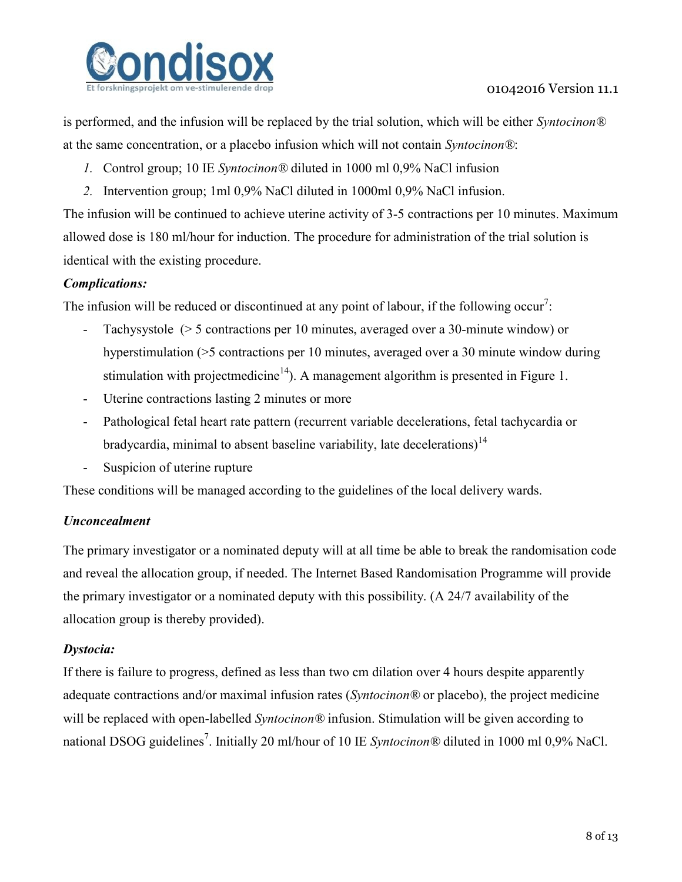

is performed, and the infusion will be replaced by the trial solution, which will be either *Syntocinon®* at the same concentration, or a placebo infusion which will not contain *Syntocinon®*:

- *1.* Control group; 10 IE *Syntocinon®* diluted in 1000 ml 0,9% NaCl infusion
- *2.* Intervention group; 1ml 0,9% NaCl diluted in 1000ml 0,9% NaCl infusion.

The infusion will be continued to achieve uterine activity of 3-5 contractions per 10 minutes. Maximum allowed dose is 180 ml/hour for induction. The procedure for administration of the trial solution is identical with the existing procedure.

### *Complications:*

The infusion will be [r](#page-3-4)educed or discontinued at any point of labour, if the following occur<sup>7</sup>:

- Tachysystole (> 5 contractions per 10 minutes, averaged over a 30-minute window) or hyperstimulation (>5 contractions per 10 minutes, averaged over a 30 minute window during stimulation with projectmedicine<sup>[14](#page-5-0)</sup>). A management algorithm is presented in Figure 1.
- Uterine contractions lasting 2 minutes or more
- Pathological fetal heart rate pattern (recurrent variable decelerations, fetal tachycardia or bradycardia, minimal to absent baseline variability, late decelerations)<sup>[14](#page-5-0)</sup>
- Suspicion of uterine rupture

These conditions will be managed according to the guidelines of the local delivery wards.

### *Unconcealment*

The primary investigator or a nominated deputy will at all time be able to break the randomisation code and reveal the allocation group, if needed. The Internet Based Randomisation Programme will provide the primary investigator or a nominated deputy with this possibility. (A 24/7 availability of the allocation group is thereby provided).

### *Dystocia:*

If there is failure to progress, defined as less than two cm dilation over 4 hours despite apparently adequate contractions and/or maximal infusion rates (*Syntocinon®* or placebo), the project medicine will be replaced with open-labelled *Syntocinon®* infusion. Stimulation will be given according to national DSOG guidelines<sup>7</sup>[.](#page-3-4) Initially 20 ml/hour of 10 IE *Syntocinon*® diluted in 1000 ml 0,9% NaCl.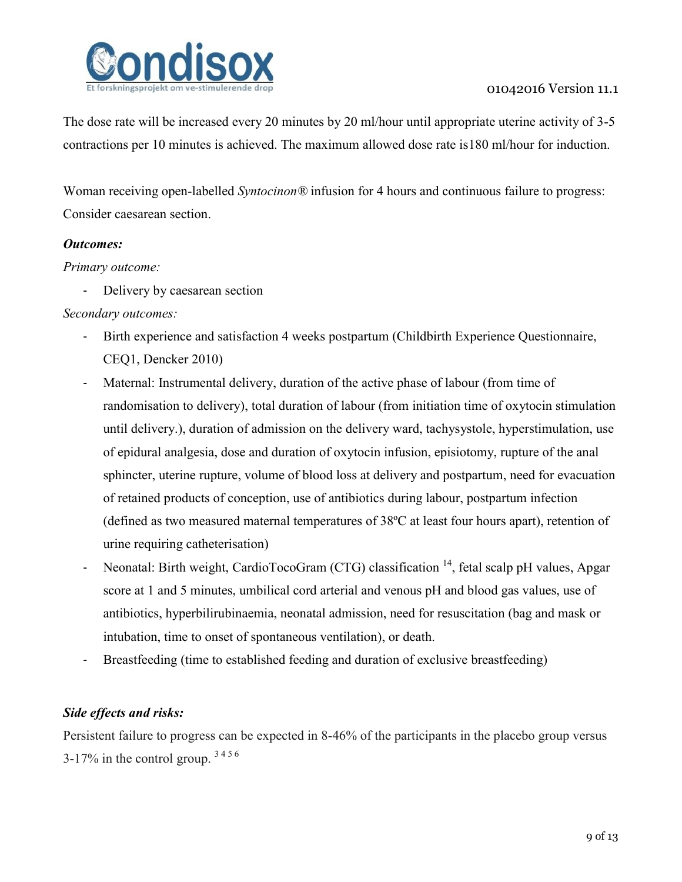

The dose rate will be increased every 20 minutes by 20 ml/hour until appropriate uterine activity of 3-5 contractions per 10 minutes is achieved. The maximum allowed dose rate is180 ml/hour for induction.

Woman receiving open-labelled *Syntocinon®* infusion for 4 hours and continuous failure to progress: Consider caesarean section.

### *Outcomes:*

#### *Primary outcome:*

- Delivery by caesarean section

### *Secondary outcomes:*

- Birth experience and satisfaction 4 weeks postpartum (Childbirth Experience Questionnaire, CEQ1, Dencker 2010)
- Maternal: Instrumental delivery, duration of the active phase of labour (from time of randomisation to delivery), total duration of labour (from initiation time of oxytocin stimulation until delivery.), duration of admission on the delivery ward, tachysystole, hyperstimulation, use of epidural analgesia, dose and duration of oxytocin infusion, episiotomy, rupture of the anal sphincter, uterine rupture, volume of blood loss at delivery and postpartum, need for evacuation of retained products of conception, use of antibiotics during labour, postpartum infection (defined as two measured maternal temperatures of 38ºC at least four hours apart), retention of urine requiring catheterisation)
- Neonatal: Birth weight, CardioTocoGram (CTG) classification <sup>[14](#page-5-0)</sup>, fetal scalp pH values, Apgar score at 1 and 5 minutes, umbilical cord arterial and venous pH and blood gas values, use of antibiotics, hyperbilirubinaemia, neonatal admission, need for resuscitation (bag and mask or intubation, time to onset of spontaneous ventilation), or death.
- Breastfeeding (time to established feeding and duration of exclusive breastfeeding)

### *Side effects and risks:*

Persistent failure to progress can be expected in 8-46% of the participants in the placebo group versus 3-17%in the control group.  $3456$  $3456$  $3456$  $3456$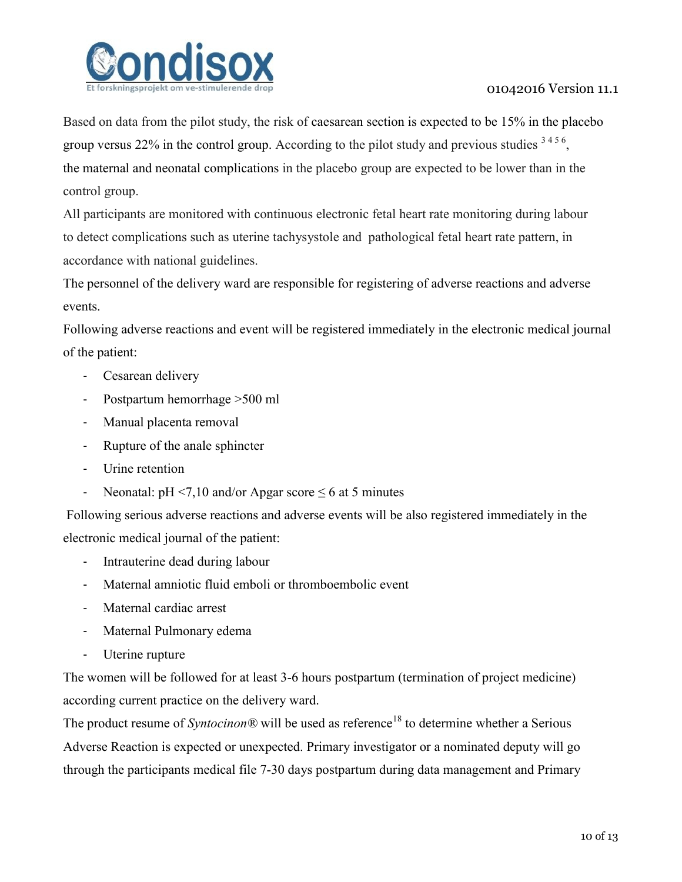

Based on data from the pilot study, the risk of caesarean section is expected to be 15% in the placebo group versus 22% in the control group. According to the pilot study and previous studies  $3456$  $3456$  $3456$  $3456$ , the maternal and neonatal complications in the placebo group are expected to be lower than in the control group.

All participants are monitored with continuous electronic fetal heart rate monitoring during labour to detect complications such as uterine tachysystole and pathological fetal heart rate pattern, in accordance with national guidelines.

The personnel of the delivery ward are responsible for registering of adverse reactions and adverse events.

Following adverse reactions and event will be registered immediately in the electronic medical journal of the patient:

- Cesarean delivery
- Postpartum hemorrhage >500 ml
- Manual placenta removal
- Rupture of the anale sphincter
- Urine retention
- Neonatal:  $pH < 7.10$  and/or Apgar score  $\leq 6$  at 5 minutes

Following serious adverse reactions and adverse events will be also registered immediately in the electronic medical journal of the patient:

- Intrauterine dead during labour
- Maternal amniotic fluid emboli or thromboembolic event
- Maternal cardiac arrest
- Maternal Pulmonary edema
- Uterine rupture

The women will be followed for at least 3-6 hours postpartum (termination of project medicine) according current practice on the delivery ward.

The product resume of *Syntocinon®* will be used as reference<sup>18</sup> to determine whether a Serious Adverse Reaction is expected or unexpected. Primary investigator or a nominated deputy will go through the participants medical file 7-30 days postpartum during data management and Primary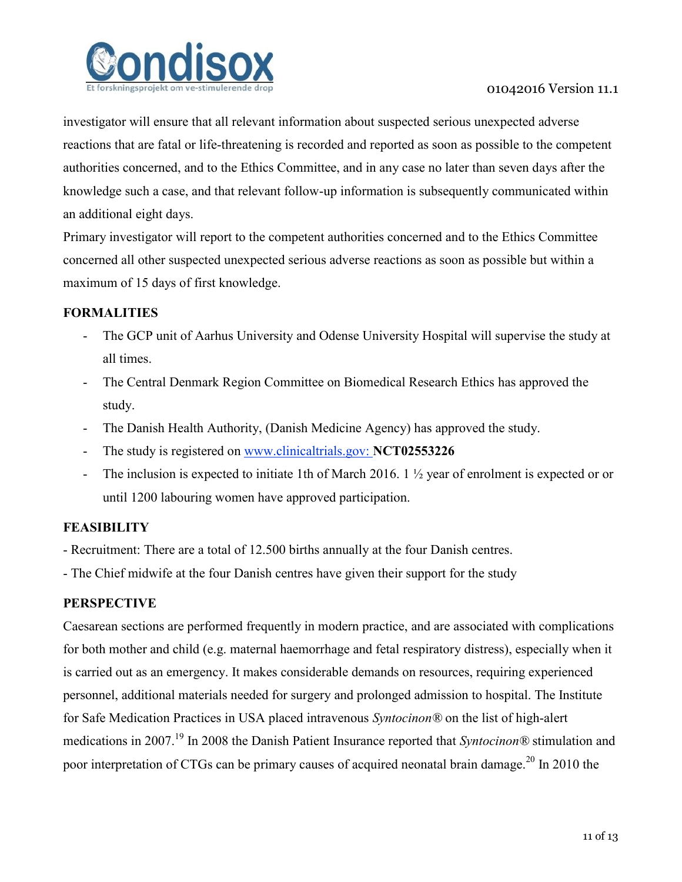

investigator will ensure that all relevant information about suspected serious unexpected adverse reactions that are fatal or life-threatening is recorded and reported as soon as possible to the competent authorities concerned, and to the Ethics Committee, and in any case no later than seven days after the knowledge such a case, and that relevant follow-up information is subsequently communicated within an additional eight days.

Primary investigator will report to the competent authorities concerned and to the Ethics Committee concerned all other suspected unexpected serious adverse reactions as soon as possible but within a maximum of 15 days of first knowledge.

### **FORMALITIES**

- The GCP unit of Aarhus University and Odense University Hospital will supervise the study at all times.
- The Central Denmark Region Committee on Biomedical Research Ethics has approved the study.
- The Danish Health Authority, (Danish Medicine Agency) has approved the study.
- The study is registered on [www.clinicaltrials.gov:](http://www.clinicaltrials.gov/) **NCT02553226**
- The inclusion is expected to initiate 1th of March 2016. 1 ½ year of enrolment is expected or or until 1200 labouring women have approved participation.

## **FEASIBILITY**

- Recruitment: There are a total of 12.500 births annually at the four Danish centres.
- The Chief midwife at the four Danish centres have given their support for the study

## **PERSPECTIVE**

Caesarean sections are performed frequently in modern practice, and are associated with complications for both mother and child (e.g. maternal haemorrhage and fetal respiratory distress), especially when it is carried out as an emergency. It makes considerable demands on resources, requiring experienced personnel, additional materials needed for surgery and prolonged admission to hospital. The Institute for Safe Medication Practices in USA placed intravenous *Syntocinon®* on the list of high-alert medications in 2007.<sup>19</sup> In 2008 the Danish Patient Insurance reported that *Syntocinon®* stimulation and poor interpretation of CTGs can be primary causes of acquired neonatal brain damage.<sup>20</sup> In 2010 the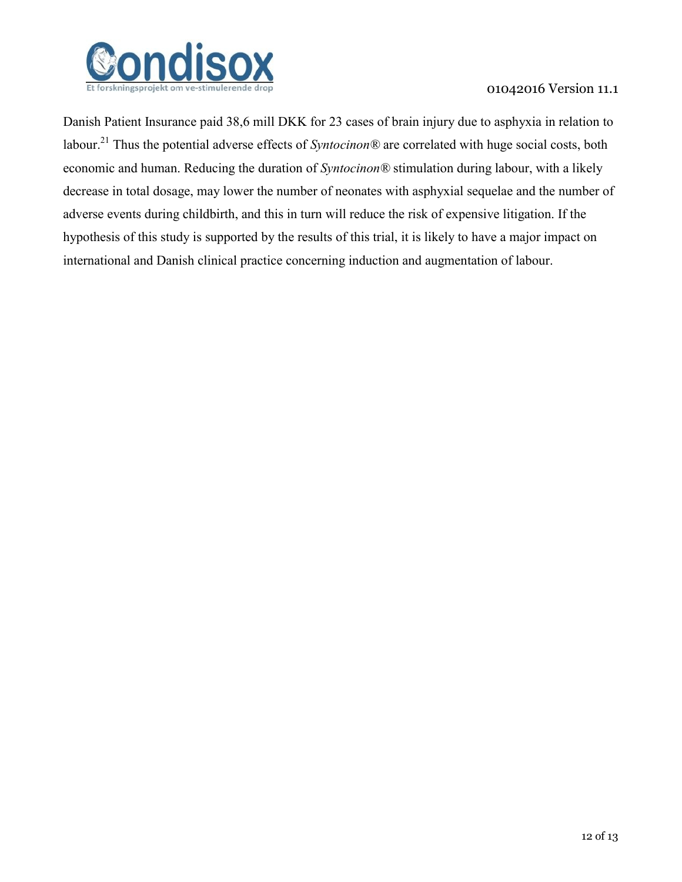

Danish Patient Insurance paid 38,6 mill DKK for 23 cases of brain injury due to asphyxia in relation to labour.<sup>21</sup> Thus the potential adverse effects of *Syntocinon®* are correlated with huge social costs, both economic and human. Reducing the duration of *Syntocinon®* stimulation during labour, with a likely decrease in total dosage, may lower the number of neonates with asphyxial sequelae and the number of adverse events during childbirth, and this in turn will reduce the risk of expensive litigation. If the hypothesis of this study is supported by the results of this trial, it is likely to have a major impact on international and Danish clinical practice concerning induction and augmentation of labour.